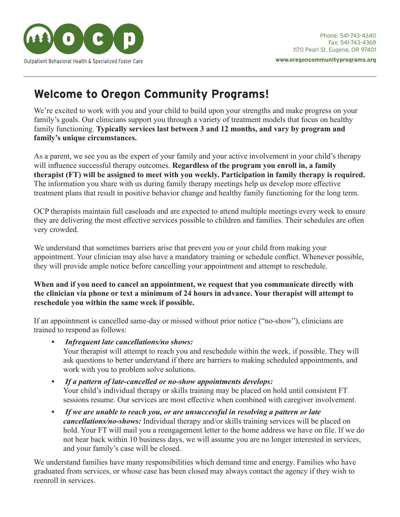

# **Welcome to Oregon Community Programs!**

We're excited to work with you and your child to build upon your strengths and make progress on your family's goals. Our clinicians support you through a variety of treatment models that focus on healthy family functioning. **Typically services last between 3 and 12 months, and vary by program and family's unique circumstances.**

As a parent, we see you as the expert of your family and your active involvement in your child's therapy will influence successful therapy outcomes. **Regardless of the program you enroll in, a family therapist (FT) will be assigned to meet with you weekly. Participation in family therapy is required.** The information you share with us during family therapy meetings help us develop more effective treatment plans that result in positive behavior change and healthy family functioning for the long term.

OCP therapists maintain full caseloads and are expected to attend multiple meetings every week to ensure they are delivering the most effective services possible to children and families. Their schedules are often very crowded.

We understand that sometimes barriers arise that prevent you or your child from making your appointment. Your clinician may also have a mandatory training or schedule conflict. Whenever possible, they will provide ample notice before cancelling your appointment and attempt to reschedule.

## **When and if you need to cancel an appointment, we request that you communicate directly with the clinician via phone or text a minimum of 24 hours in advance. Your therapist will attempt to reschedule you within the same week if possible.**

If an appointment is cancelled same-day or missed without prior notice ("no-show"), clinicians are trained to respond as follows:

*• Infrequent late cancellations/no shows:* 

Your therapist will attempt to reach you and reschedule within the week, if possible. They will ask questions to better understand if there are barriers to making scheduled appointments, and work with you to problem solve solutions.

- *If a pattern of late-cancelled or no-show appointments develops:*  Your child's individual therapy or skills training may be placed on hold until consistent FT sessions resume. Our services are most effective when combined with caregiver involvement.
- *If we are unable to reach you, or are unsuccessful in resolving a pattern or late cancellations/no-shows:* Individual therapy and/or skills training services will be placed on hold. Your FT will mail you a reengagement letter to the home address we have on file. If we do not hear back within 10 business days, we will assume you are no longer interested in services, and your family's case will be closed.

We understand families have many responsibilities which demand time and energy. Families who have graduated from services, or whose case has been closed may always contact the agency if they wish to reenroll in services.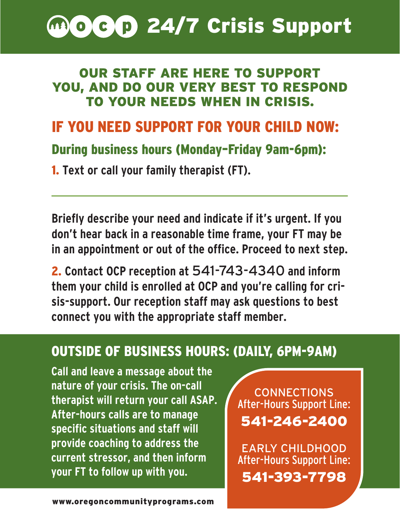

# OUR STAFF ARE HERE TO SUPPORT YOU, AND DO OUR VERY BEST TO RESPOND TO YOUR NEEDS WHEN IN CRISIS.

# IF YOU NEED SUPPORT FOR YOUR CHILD NOW:

# During business hours (Monday–Friday 9am-6pm):

1. **Text or call your family therapist (FT).** 

**Briefly describe your need and indicate if it's urgent. If you don't hear back in a reasonable time frame, your FT may be in an appointment or out of the office. Proceed to next step.**

2. **Contact OCP reception at** 541-743-4340 **and inform them your child is enrolled at OCP and you're calling for crisis-support. Our reception staff may ask questions to best connect you with the appropriate staff member.**

# OUTSIDE OF BUSINESS HOURS: (DAILY, 6PM-9AM)

**Call and leave a message about the nature of your crisis. The on-call therapist will return your call ASAP. After-hours calls are to manage specific situations and staff will provide coaching to address the current stressor, and then inform your FT to follow up with you.**

CONNECTIONS After-Hours Support Line: 541-246-2400

EARLY CHILDHOOD After-Hours Support Line: 541-393-7798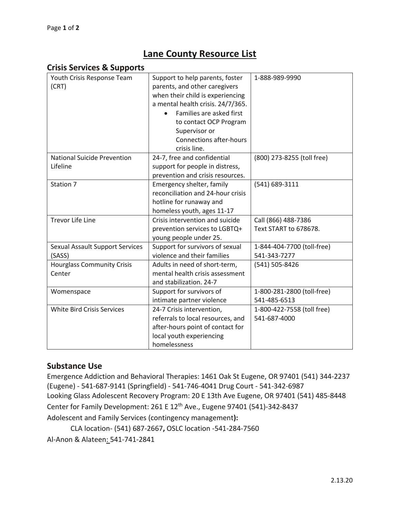# **Lane County Resource List**

#### **Crisis Services & Supports**

| Youth Crisis Response Team<br>(CRT)              | Support to help parents, foster<br>parents, and other caregivers<br>when their child is experiencing<br>a mental health crisis. 24/7/365.<br>Families are asked first<br>to contact OCP Program<br>Supervisor or<br><b>Connections after-hours</b><br>crisis line. | 1-888-989-9990                               |
|--------------------------------------------------|--------------------------------------------------------------------------------------------------------------------------------------------------------------------------------------------------------------------------------------------------------------------|----------------------------------------------|
| <b>National Suicide Prevention</b>               | 24-7, free and confidential                                                                                                                                                                                                                                        | (800) 273-8255 (toll free)                   |
| Lifeline                                         | support for people in distress,<br>prevention and crisis resources.                                                                                                                                                                                                |                                              |
| Station 7                                        | Emergency shelter, family<br>reconciliation and 24-hour crisis<br>hotline for runaway and<br>homeless youth, ages 11-17                                                                                                                                            | (541) 689-3111                               |
| <b>Trevor Life Line</b>                          | Crisis intervention and suicide<br>prevention services to LGBTQ+<br>young people under 25.                                                                                                                                                                         | Call (866) 488-7386<br>Text START to 678678. |
| <b>Sexual Assault Support Services</b><br>(SASS) | Support for survivors of sexual<br>violence and their families                                                                                                                                                                                                     | 1-844-404-7700 (toll-free)<br>541-343-7277   |
| <b>Hourglass Community Crisis</b><br>Center      | Adults in need of short-term,<br>mental health crisis assessment<br>and stabilization. 24-7                                                                                                                                                                        | (541) 505-8426                               |
| Womenspace                                       | Support for survivors of<br>intimate partner violence                                                                                                                                                                                                              | 1-800-281-2800 (toll-free)<br>541-485-6513   |
| <b>White Bird Crisis Services</b>                | 24-7 Crisis intervention,<br>referrals to local resources, and<br>after-hours point of contact for<br>local youth experiencing<br>homelessness                                                                                                                     | 1-800-422-7558 (toll free)<br>541-687-4000   |

### **Substance Use**

Emergence Addiction and Behavioral Therapies: 1461 Oak St Eugene, OR 97401 (541) 344-2237 (Eugene) - 541-687-9141 (Springfield) - 541-746-4041 Drug Court - 541-342-6987 Looking Glass Adolescent Recovery Program: 20 E 13th Ave Eugene, OR 97401 (541) 485-8448 Center for Family Development: 261 E 12<sup>th</sup> Ave., Eugene 97401 (541)-342-8437 Adolescent and Family Services (contingency management**):** 

```
CLA location- (541) 687-2667, OSLC location -541-284-7560
```
Al-Anon & Alateen: 541-741-2841